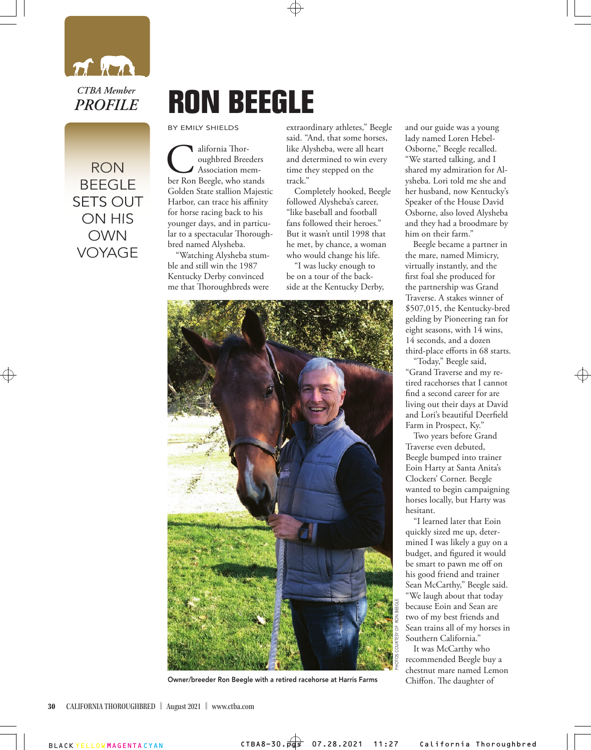

RON RON BEEGLE BEEGLE SETS OUT SETS OUT ON HIS ON HIS OWN VOYAGE

## **RON BEEGLE**

BY EMILY SHIELDS

alifornia Thor-<br>
oughbred Breeders<br>
ber Ron Beegle, who stands oughbred Breeders Association mem-Golden State stallion Majestic Harbor, can trace his affinity for horse racing back to his younger days, and in particular to a spectacular Thoroughbred named Alysheba.

"Watching Alysheba stumble and still win the 1987 Kentucky Derby convinced me that Thoroughbreds were

extraordinary athletes," Beegle said. "And, that some horses, like Alysheba, were all heart and determined to win every time they stepped on the track."

Completely hooked, Beegle followed Alysheba's career, "like baseball and football fans followed their heroes." But it wasn't until 1998 that he met, by chance, a woman who would change his life.

"I was lucky enough to be on a tour of the backside at the Kentucky Derby,



and our guide was a young lady named Loren Hebel-Osborne," Beegle recalled. "We started talking, and I shared my admiration for Alysheba. Lori told me she and her husband, now Kentucky's Speaker of the House David Osborne, also loved Alysheba and they had a broodmare by him on their farm."

Beegle became a partner in the mare, named Mimicry, virtually instantly, and the first foal she produced for the partnership was Grand Traverse. A stakes winner of \$507,015, the Kentucky-bred gelding by Pioneering ran for eight seasons, with 14 wins, 14 seconds, and a dozen third-place efforts in 68 starts.

"Today," Beegle said, "Grand Traverse and my retired racehorses that I cannot find a second career for are living out their days at David and Lori's beautiful Deerfield Farm in Prospect, Ky."

Two years before Grand Traverse even debuted, Beegle bumped into trainer Eoin Harty at Santa Anita's Clockers' Corner. Beegle wanted to begin campaigning horses locally, but Harty was hesitant.

"I learned later that Eoin quickly sized me up, determined I was likely a guy on a budget, and figured it would be smart to pawn me off on his good friend and trainer Sean McCarthy," Beegle said. "We laugh about that today because Eoin and Sean are two of my best friends and Sean trains all of my horses in Southern California."

It was McCarthy who recommended Beegle buy a chestnut mare named Lemon